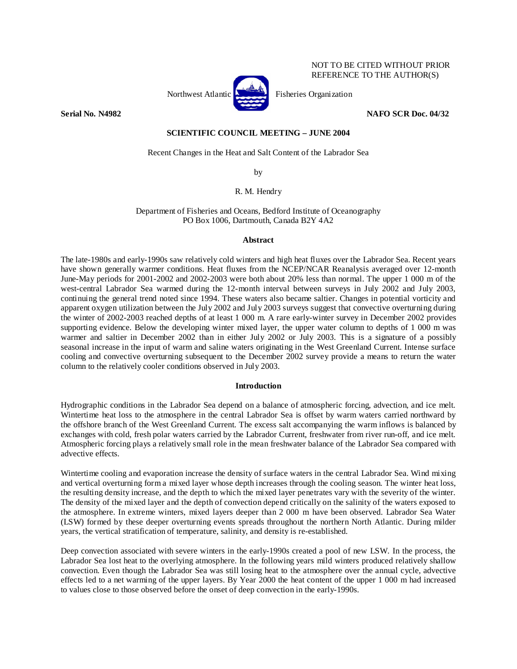

 NOT TO BE CITED WITHOUT PRIOR REFERENCE TO THE AUTHOR(S)

# **Serial No. N4982 NAFO SCR Doc. 04/32**

## **SCIENTIFIC COUNCIL MEETING – JUNE 2004**

Recent Changes in the Heat and Salt Content of the Labrador Sea

by

R. M. Hendry

Department of Fisheries and Oceans, Bedford Institute of Oceanography PO Box 1006, Dartmouth, Canada B2Y 4A2

## **Abstract**

The late-1980s and early-1990s saw relatively cold winters and high heat fluxes over the Labrador Sea. Recent years have shown generally warmer conditions. Heat fluxes from the NCEP/NCAR Reanalysis averaged over 12-month June-May periods for 2001-2002 and 2002-2003 were both about 20% less than normal. The upper 1 000 m of the west-central Labrador Sea warmed during the 12-month interval between surveys in July 2002 and July 2003, continuing the general trend noted since 1994. These waters also became saltier. Changes in potential vorticity and apparent oxygen utilization between the July 2002 and July 2003 surveys suggest that convective overturning during the winter of 2002-2003 reached depths of at least 1 000 m. A rare early-winter survey in December 2002 provides supporting evidence. Below the developing winter mixed layer, the upper water column to depths of 1 000 m was warmer and saltier in December 2002 than in either July 2002 or July 2003. This is a signature of a possibly seasonal increase in the input of warm and saline waters originating in the West Greenland Current. Intense surface cooling and convective overturning subsequent to the December 2002 survey provide a means to return the water column to the relatively cooler conditions observed in July 2003.

# **Introduction**

Hydrographic conditions in the Labrador Sea depend on a balance of atmospheric forcing, advection, and ice melt. Wintertime heat loss to the atmosphere in the central Labrador Sea is offset by warm waters carried northward by the offshore branch of the West Greenland Current. The excess salt accompanying the warm inflows is balanced by exchanges with cold, fresh polar waters carried by the Labrador Current, freshwater from river run-off, and ice melt. Atmospheric forcing plays a relatively small role in the mean freshwater balance of the Labrador Sea compared with advective effects.

Wintertime cooling and evaporation increase the density of surface waters in the central Labrador Sea. Wind mixing and vertical overturning form a mixed layer whose depth increases through the cooling season. The winter heat loss, the resulting density increase, and the depth to which the mixed layer penetrates vary with the severity of the winter. The density of the mixed layer and the depth of convection depend critically on the salinity of the waters exposed to the atmosphere. In extreme winters, mixed layers deeper than 2 000 m have been observed. Labrador Sea Water (LSW) formed by these deeper overturning events spreads throughout the northern North Atlantic. During milder years, the vertical stratification of temperature, salinity, and density is re-established.

Deep convection associated with severe winters in the early-1990s created a pool of new LSW. In the process, the Labrador Sea lost heat to the overlying atmosphere. In the following years mild winters produced relatively shallow convection. Even though the Labrador Sea was still losing heat to the atmosphere over the annual cycle, advective effects led to a net warming of the upper layers. By Year 2000 the heat content of the upper 1 000 m had increased to values close to those observed before the onset of deep convection in the early-1990s.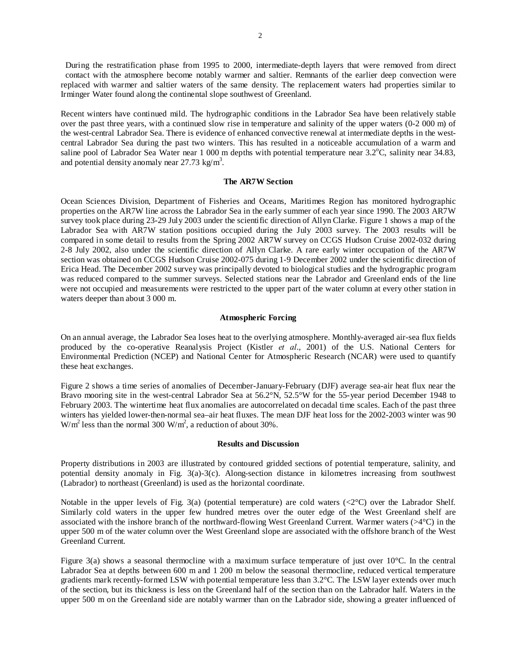During the restratification phase from 1995 to 2000, intermediate-depth layers that were removed from direct contact with the atmosphere become notably warmer and saltier. Remnants of the earlier deep convection were replaced with warmer and saltier waters of the same density. The replacement waters had properties similar to Irminger Water found along the continental slope southwest of Greenland.

Recent winters have continued mild. The hydrographic conditions in the Labrador Sea have been relatively stable over the past three years, with a continued slow rise in temperature and salinity of the upper waters (0-2 000 m) of the west-central Labrador Sea. There is evidence of enhanced convective renewal at intermediate depths in the westcentral Labrador Sea during the past two winters. This has resulted in a noticeable accumulation of a warm and saline pool of Labrador Sea Water near 1 000 m depths with potential temperature near  $3.2^{\circ}$ C, salinity near 34.83, and potential density anomaly near  $27.73 \text{ kg/m}^3$ .

## **The AR7W Section**

Ocean Sciences Division, Department of Fisheries and Oceans, Maritimes Region has monitored hydrographic properties on the AR7W line across the Labrador Sea in the early summer of each year since 1990. The 2003 AR7W survey took place during 23-29 July 2003 under the scientific direction of Allyn Clarke. Figure 1 shows a map of the Labrador Sea with AR7W station positions occupied during the July 2003 survey. The 2003 results will be compared in some detail to results from the Spring 2002 AR7W survey on CCGS Hudson Cruise 2002-032 during 2-8 July 2002, also under the scientific direction of Allyn Clarke. A rare early winter occupation of the AR7W section was obtained on CCGS Hudson Cruise 2002-075 during 1-9 December 2002 under the scientific direction of Erica Head. The December 2002 survey was principally devoted to biological studies and the hydrographic program was reduced compared to the summer surveys. Selected stations near the Labrador and Greenland ends of the line were not occupied and measurements were restricted to the upper part of the water column at every other station in waters deeper than about 3 000 m.

### **Atmospheric Forcing**

On an annual average, the Labrador Sea loses heat to the overlying atmosphere. Monthly-averaged air-sea flux fields produced by the co-operative Reanalysis Project (Kistler *et al*., 2001) of the U.S. National Centers for Environmental Prediction (NCEP) and National Center for Atmospheric Research (NCAR) were used to quantify these heat exchanges.

Figure 2 shows a time series of anomalies of December-January-February (DJF) average sea-air heat flux near the Bravo mooring site in the west-central Labrador Sea at 56.2°N, 52.5°W for the 55-year period December 1948 to February 2003. The wintertime heat flux anomalies are autocorrelated on decadal time scales. Each of the past three winters has yielded lower-then-normal sea–air heat fluxes. The mean DJF heat loss for the 2002-2003 winter was 90 W/m<sup>2</sup> less than the normal 300 W/m<sup>2</sup>, a reduction of about 30%.

### **Results and Discussion**

Property distributions in 2003 are illustrated by contoured gridded sections of potential temperature, salinity, and potential density anomaly in Fig. 3(a)-3(c). Along-section distance in kilometres increasing from southwest (Labrador) to northeast (Greenland) is used as the horizontal coordinate.

Notable in the upper levels of Fig. 3(a) (potential temperature) are cold waters (<2°C) over the Labrador Shelf. Similarly cold waters in the upper few hundred metres over the outer edge of the West Greenland shelf are associated with the inshore branch of the northward-flowing West Greenland Current. Warmer waters (>4°C) in the upper 500 m of the water column over the West Greenland slope are associated with the offshore branch of the West Greenland Current.

Figure 3(a) shows a seasonal thermocline with a maximum surface temperature of just over 10°C. In the central Labrador Sea at depths between 600 m and 1 200 m below the seasonal thermocline, reduced vertical temperature gradients mark recently-formed LSW with potential temperature less than 3.2°C. The LSW layer extends over much of the section, but its thickness is less on the Greenland half of the section than on the Labrador half. Waters in the upper 500 m on the Greenland side are notably warmer than on the Labrador side, showing a greater influenced of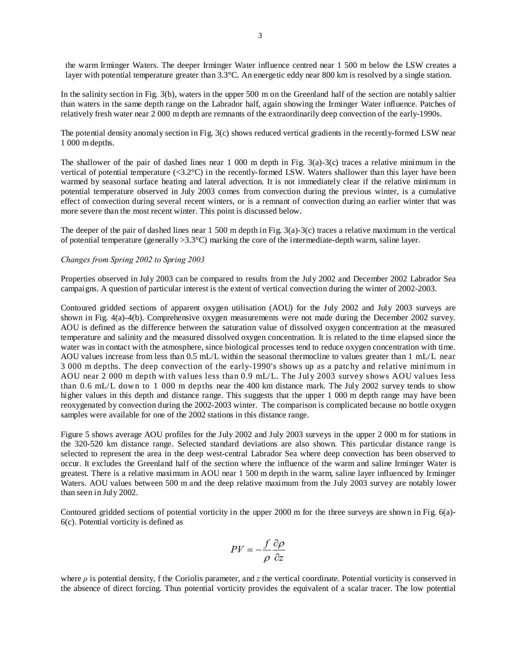the warm Irminger Waters. The deeper Irminger Water influence centred near 1 500 m below the LSW creates a layer with potential temperature greater than 3.3°C. An energetic eddy near 800 km is resolved by a single station.

In the salinity section in Fig. 3(b), waters in the upper 500 m on the Greenland half of the section are notably saltier than waters in the same depth range on the Labrador half, again showing the Irminger Water influence. Patches of relatively fresh water near 2 000 m depth are remnants of the extraordinarily deep convection of the early-1990s.

The potential density anomaly section in Fig. 3(c) shows reduced vertical gradients in the recently-formed LSW near 1 000 m depths.

The shallower of the pair of dashed lines near 1 000 m depth in Fig. 3(a)-3(c) traces a relative minimum in the vertical of potential temperature (<3.2°C) in the recently-formed LSW. Waters shallower than this layer have been warmed by seasonal surface heating and lateral advection. It is not immediately clear if the relative minimum in potential temperature observed in July 2003 comes from convection during the previous winter, is a cumulative effect of convection during several recent winters, or is a remnant of convection during an earlier winter that was more severe than the most recent winter. This point is discussed below.

The deeper of the pair of dashed lines near 1 500 m depth in Fig. 3(a)-3(c) traces a relative maximum in the vertical of potential temperature (generally >3.3°C) marking the core of the intermediate-depth warm, saline layer.

## *Changes from Spring 2002 to Spring 2003*

Properties observed in July 2003 can be compared to results from the July 2002 and December 2002 Labrador Sea campaigns. A question of particular interest is the extent of vertical convection during the winter of 2002-2003.

Contoured gridded sections of apparent oxygen utilisation (AOU) for the July 2002 and July 2003 surveys are shown in Fig. 4(a)-4(b). Comprehensive oxygen measurements were not made during the December 2002 survey. AOU is defined as the difference between the saturation value of dissolved oxygen concentration at the measured temperature and salinity and the measured dissolved oxygen concentration. It is related to the time elapsed since the water was in contact with the atmosphere, since biological processes tend to reduce oxygen concentration with time. AOU values increase from less than 0.5 mL/L within the seasonal thermocline to values greater than 1 mL/L near 3 000 m depths. The deep convection of the early-1990's shows up as a patchy and relative minimum in AOU near 2 000 m depth with values less than 0.9 mL/L. The July 2003 survey shows AOU values less than 0.6 mL/L dow n to 1 000 m depths near the 400 km distance mark. The July 2002 survey tends to show higher values in this depth and distance range. This suggests that the upper 1 000 m depth range may have been reoxygenated by convection during the 2002-2003 winter. The comparison is complicated because no bottle oxygen samples were available for one of the 2002 stations in this distance range.

Figure 5 shows average AOU profiles for the July 2002 and July 2003 surveys in the upper 2 000 m for stations in the 320-520 km distance range. Selected standard deviations are also shown. This particular distance range is selected to represent the area in the deep west-central Labrador Sea where deep convection has been observed to occur. It excludes the Greenland half of the section where the influence of the warm and saline Irminger Water is greatest. There is a relative maximum in AOU near 1 500 m depth in the warm, saline layer influenced by Irminger Waters. AOU values between 500 m and the deep relative maximum from the July 2003 survey are notably lower than seen in July 2002.

Contoured gridded sections of potential vorticity in the upper 2000 m for the three surveys are shown in Fig. 6(a)- 6(c). Potential vorticity is defined as

$$
PV = -\frac{f}{\rho} \frac{\partial \rho}{\partial z}
$$

where *ρ* is potential density, f the Coriolis parameter, and *z* the vertical coordinate. Potential vorticity is conserved in the absence of direct forcing. Thus potential vorticity provides the equivalent of a scalar tracer. The low potential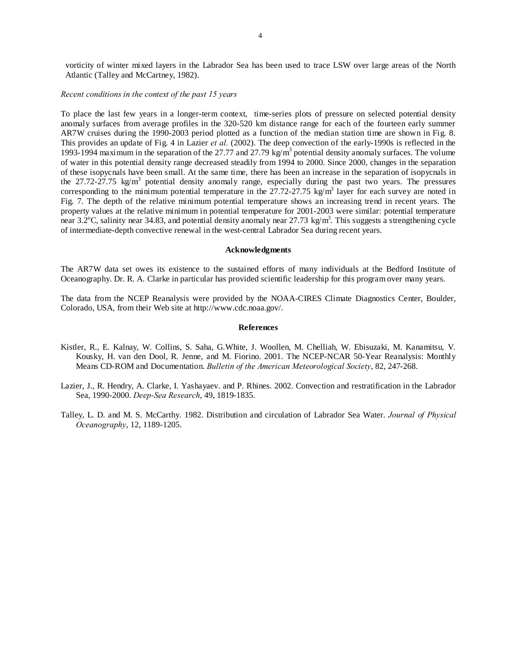vorticity of winter mixed layers in the Labrador Sea has been used to trace LSW over large areas of the North Atlantic (Talley and McCartney, 1982).

### *Recent conditions in the context of the past 15 years*

To place the last few years in a longer-term context, time-series plots of pressure on selected potential density anomaly surfaces from average profiles in the 320-520 km distance range for each of the fourteen early summer AR7W cruises during the 1990-2003 period plotted as a function of the median station time are shown in Fig. 8. This provides an update of Fig. 4 in Lazier *et al.* (2002). The deep convection of the early-1990s is reflected in the 1993-1994 maximum in the separation of the 27.77 and 27.79 kg/m<sup>3</sup> potential density anomaly surfaces. The volume of water in this potential density range decreased steadily from 1994 to 2000. Since 2000, changes in the separation of these isopycnals have been small. At the same time, there has been an increase in the separation of isopycnals in the 27.72-27.75 kg/m<sup>3</sup> potential density anomaly range, especially during the past two years. The pressures corresponding to the minimum potential temperature in the  $27.72$ - $27.75$  kg/m<sup>3</sup> layer for each survey are noted in Fig. 7. The depth of the relative minimum potential temperature shows an increasing trend in recent years. The property values at the relative minimum in potential temperature for 2001-2003 were similar: potential temperature near 3.2°C, salinity near 34.83, and potential density anomaly near 27.73 kg/m<sup>3</sup>. This suggests a strengthening cycle of intermediate-depth convective renewal in the west-central Labrador Sea during recent years.

### **Acknowledgments**

The AR7W data set owes its existence to the sustained efforts of many individuals at the Bedford Institute of Oceanography. Dr. R. A. Clarke in particular has provided scientific leadership for this program over many years.

The data from the NCEP Reanalysis were provided by the NOAA-CIRES Climate Diagnostics Center, Boulder, Colorado, USA, from their Web site at http://www.cdc.noaa.gov/.

#### **References**

- Kistler, R., E. Kalnay, W. Collins, S. Saha, G.White, J. Woollen, M. Chelliah, W. Ebisuzaki, M. Kanamitsu, V. Kousky, H. van den Dool, R. Jenne, and M. Fiorino. 2001. The NCEP-NCAR 50-Year Reanalysis: Monthly Means CD-ROM and Documentation. *Bulletin of the American Meteorological Society*, 82, 247-268.
- Lazier, J., R. Hendry, A. Clarke, I. Yashayaev. and P. Rhines. 2002. Convection and restratification in the Labrador Sea, 1990-2000. *Deep-Sea Research*, 49, 1819-1835.
- Talley, L. D. and M. S. McCarthy. 1982. Distribution and circulation of Labrador Sea Water. *Journal of Physical Oceanography*, 12, 1189-1205.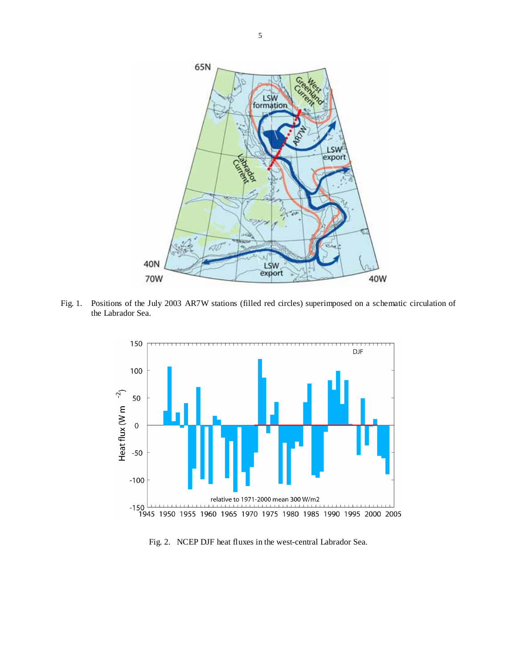

Fig. 1. Positions of the July 2003 AR7W stations (filled red circles) superimposed on a schematic circulation of the Labrador Sea.



Fig. 2. NCEP DJF heat fluxes in the west-central Labrador Sea.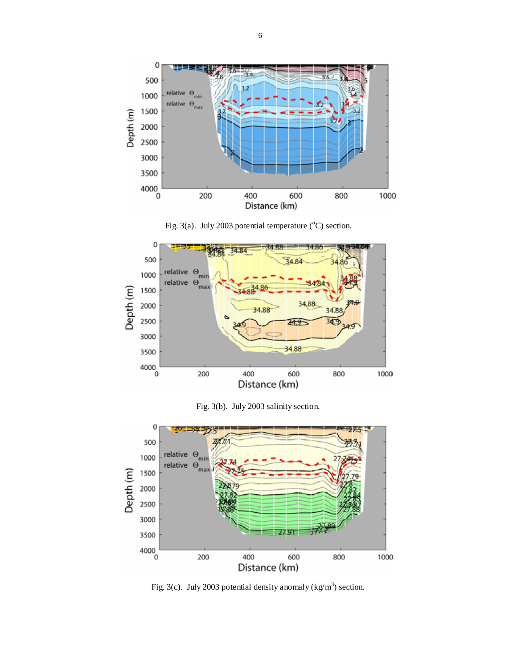



Fig. 3(a). July 2003 potential temperature  $({}^{\circ}C)$  section.

Fig. 3(b). July 2003 salinity section.



Fig. 3(c). July 2003 potential density anomaly (kg/m<sup>3</sup>) section.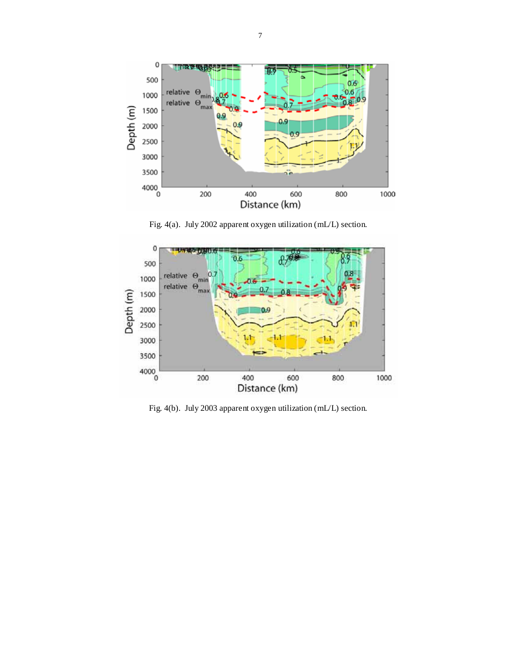

Fig. 4(a). July 2002 apparent oxygen utilization (mL/L) section.



Fig. 4(b). July 2003 apparent oxygen utilization (mL/L) section.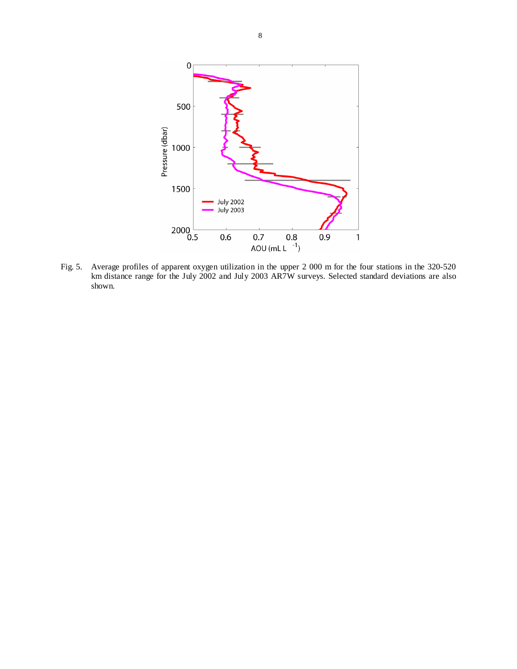

Fig. 5. Average profiles of apparent oxygen utilization in the upper 2 000 m for the four stations in the 320-520 km distance range for the July 2002 and July 2003 AR7W surveys. Selected standard deviations are also shown.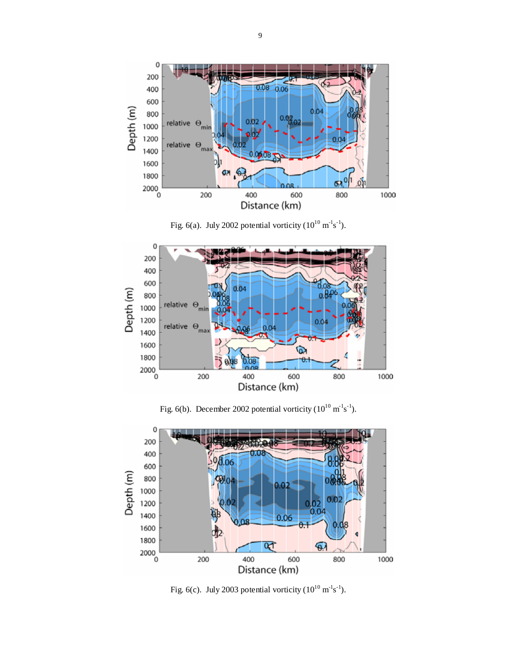

Fig. 6(a). July 2002 potential vorticity  $(10^{10} \text{ m}^{-1} \text{s}^{-1})$ .



Fig. 6(b). December 2002 potential vorticity  $(10^{10} \text{ m}^3 \text{s}^{-1})$ .



Fig. 6(c). July 2003 potential vorticity  $(10^{10} \text{ m}^{-1} \text{s}^{-1})$ .